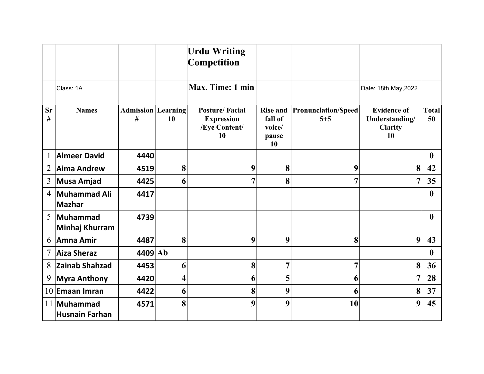|                |                               |                                |    | <b>Urdu Writing</b><br><b>Competition</b>                         |                                                     |                                       |                                                              |                    |
|----------------|-------------------------------|--------------------------------|----|-------------------------------------------------------------------|-----------------------------------------------------|---------------------------------------|--------------------------------------------------------------|--------------------|
|                | Class: 1A                     |                                |    | Max. Time: 1 min                                                  |                                                     |                                       | Date: 18th May, 2022                                         |                    |
| <b>Sr</b><br># | <b>Names</b>                  | <b>Admission Learning</b><br># | 10 | <b>Posture/Facial</b><br><b>Expression</b><br>/Eye Content/<br>10 | <b>Rise and</b><br>fall of<br>voice/<br>pause<br>10 | <b>Pronunciation/Speed</b><br>$5 + 5$ | <b>Evidence of</b><br>Understanding/<br><b>Clarity</b><br>10 | <b>Total</b><br>50 |
| $\mathbf{1}$   | <b>Almeer David</b>           | 4440                           |    |                                                                   |                                                     |                                       |                                                              | $\mathbf{0}$       |
| $\overline{2}$ | <b>Aima Andrew</b>            | 4519                           | 8  | 9                                                                 | 8                                                   | 9                                     | 8                                                            | 42                 |
| 3              | <b>Musa Amjad</b>             | 4425                           | 6  | 7                                                                 | 8                                                   | 7                                     | 7                                                            | 35                 |
| $\overline{4}$ | Muhammad Ali<br>Mazhar        | 4417                           |    |                                                                   |                                                     |                                       |                                                              | $\mathbf{0}$       |
| 5              | Muhammad<br>Minhaj Khurram    | 4739                           |    |                                                                   |                                                     |                                       |                                                              | $\mathbf{0}$       |
| 6              | Amna Amir                     | 4487                           | 8  | 9                                                                 | 9                                                   | 8                                     | 9                                                            | 43                 |
| $\tau$         | Aiza Sheraz                   | 4409 Ab                        |    |                                                                   |                                                     |                                       |                                                              | $\mathbf{0}$       |
| 8              | <b>Zainab Shahzad</b>         | 4453                           | 6  | 8                                                                 | $\overline{7}$                                      | 7                                     | 8                                                            | 36                 |
| 9              | <b>Myra Anthony</b>           | 4420                           | 4  | 6                                                                 | 5                                                   | 6                                     | 7                                                            | 28                 |
|                | $10$ Emaan Imran              | 4422                           | 6  | 8                                                                 | 9                                                   | 6                                     | 8                                                            | 37                 |
|                | 11 Muhammad<br>Husnain Farhan | 4571                           | 8  | 9                                                                 | 9                                                   | 10                                    | 9                                                            | 45                 |